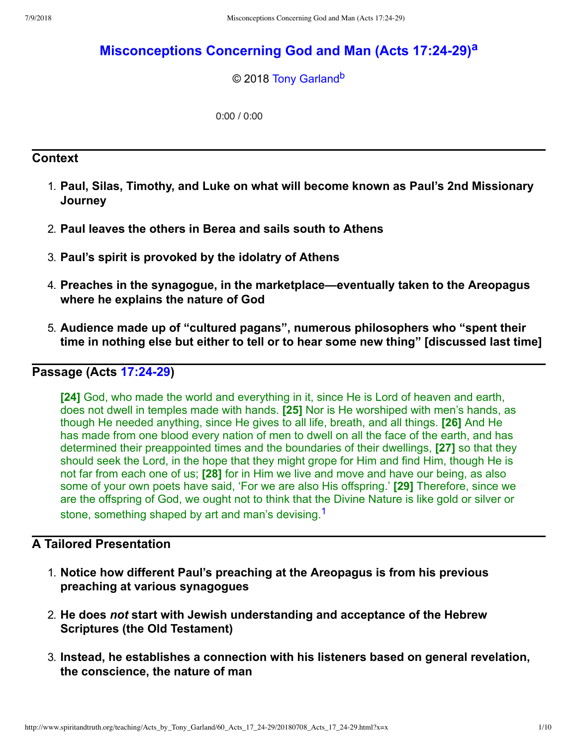# **[Misconceptions Concerning God and Man \(Acts 17:2429\)](http://www.spiritandtruth.org/teaching/Acts_by_Tony_Garland/60_Acts_17_24-29/index.htm)[a](#page-9-0)**

### <span id="page-0-2"></span><span id="page-0-1"></span>© 2018 [Tony Garland](http://www.spiritandtruth.org/id/tg.htm)<sup>[b](#page-9-1)</sup>

0:00 / 0:00

### **Context**

- 1. **Paul, Silas, Timothy, and Luke on what will become known as Paul's 2nd Missionary Journey**
- 2. **Paul leaves the others in Berea and sails south to Athens**
- 3. **Paul's spirit is provoked by the idolatry of Athens**
- 4. **Preaches in the synagogue, in the marketplace—eventually taken to the Areopagus where he explains the nature of God**
- 5. **Audience made up of "cultured pagans", numerous philosophers who "spent their time in nothing else but either to tell or to hear some new thing" [discussed last time]**

## **Passage (Acts 17:24-29)**

**[24]** God, who made the world and everything in it, since He is Lord of heaven and earth, does not dwell in temples made with hands. **[25]** Nor is He worshiped with men's hands, as though He needed anything, since He gives to all life, breath, and all things. **[26]** And He has made from one blood every nation of men to dwell on all the face of the earth, and has determined their preappointed times and the boundaries of their dwellings, **[27]** so that they should seek the Lord, in the hope that they might grope for Him and find Him, though He is not far from each one of us; **[28]** for in Him we live and move and have our being, as also some of your own poets have said, 'For we are also His offspring.' **[29]** Therefore, since we are the offspring of God, we ought not to think that the Divine Nature is like gold or silver or stone, something shaped by art and man's devising.<sup>[1](#page-9-2)</sup>

## **A Tailored Presentation**

- <span id="page-0-0"></span>1. **Notice how different Paul's preaching at the Areopagus is from his previous preaching at various synagogues**
- 2. **He does** *not* **start with Jewish understanding and acceptance of the Hebrew Scriptures (the Old Testament)**
- 3. **Instead, he establishes a connection with his listeners based on general revelation, the conscience, the nature of man**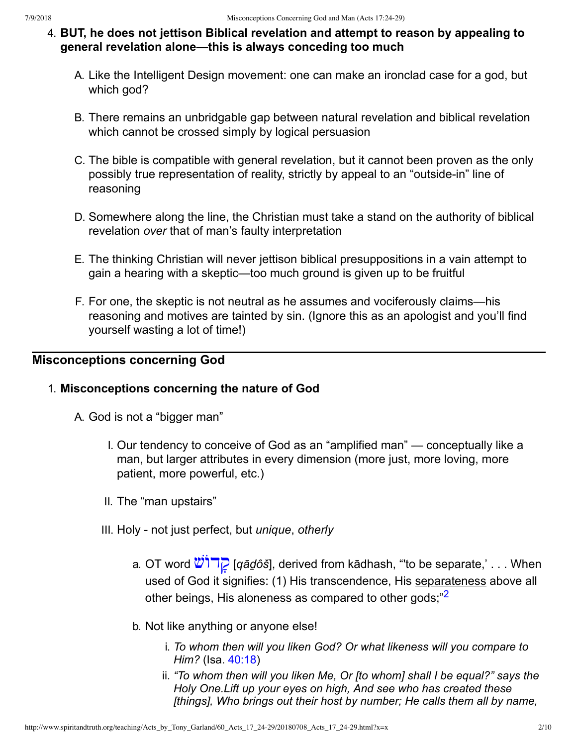- 4. **BUT, he does not jettison Biblical revelation and attempt to reason by appealing to general revelation alone—this is always conceding too much**
	- A. Like the Intelligent Design movement: one can make an ironclad case for a god, but which god?
	- B. There remains an unbridgable gap between natural revelation and biblical revelation which cannot be crossed simply by logical persuasion
	- C. The bible is compatible with general revelation, but it cannot been proven as the only possibly true representation of reality, strictly by appeal to an "outside-in" line of reasoning
	- D. Somewhere along the line, the Christian must take a stand on the authority of biblical revelation *over* that of man's faulty interpretation
	- E. The thinking Christian will never jettison biblical presuppositions in a vain attempt to gain a hearing with a skeptic—too much ground is given up to be fruitful
	- F. For one, the skeptic is not neutral as he assumes and vociferously claims—his reasoning and motives are tainted by sin. (Ignore this as an apologist and you'll find yourself wasting a lot of time!)

## **Misconceptions concerning God**

### 1. **Misconceptions concerning the nature of God**

- <span id="page-1-0"></span>A. God is not a "bigger man"
	- I. Our tendency to conceive of God as an "amplified man" conceptually like a man, but larger attributes in every dimension (more just, more loving, more patient, more powerful, etc.)
	- II. The "man upstairs"
	- III. Holy not just perfect, but *unique*, *otherly* 
		- a. OT word  $\mathbb{Z}$ <sup> $\mathbb{Z}$ </sup> [*qād*ôš], derived from kādhash, "to be separate,' . . . When used of God it signifies: (1) His transcendence, His separateness above all other beings, His aloneness as compared to other gods;"<sup>[2](#page-9-3)</sup>
		- b. Not like anything or anyone else!
			- i. *To whom then will you liken God? Or what likeness will you compare to Him?* (Isa. [40:18](http://www.spiritandtruth.org/bibles/nasb/b23c040.htm#Isa._C40V18))
			- ii. *"To whom then will you liken Me, Or [to whom] shall I be equal?" says the Holy One.Lift up your eyes on high, And see who has created these [things], Who brings out their host by number; He calls them all by name,*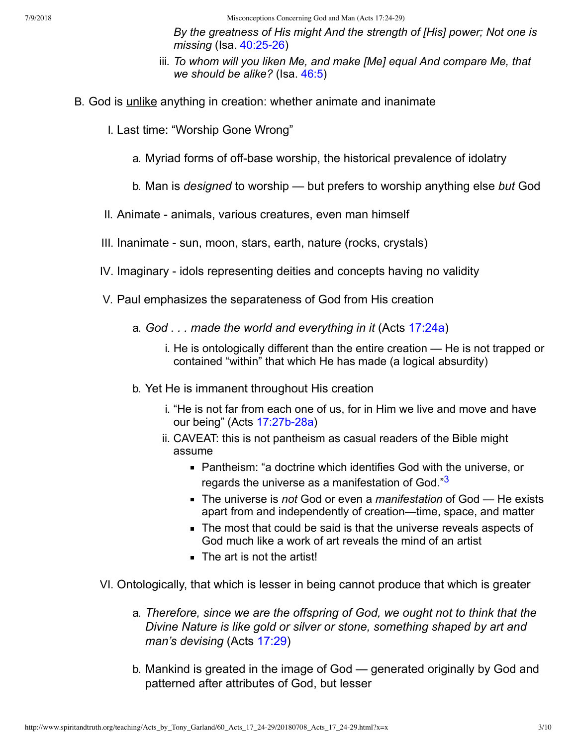7/9/2018 Misconceptions Concerning God and Man (Acts 17:24-29)

*By the greatness of His might And the strength of [His] power; Not one is missing* (Isa. 40:25-26)

- <span id="page-2-0"></span>iii. *To whom will you liken Me, and make [Me] equal And compare Me, that we should be alike?* (Isa. [46:5](http://www.spiritandtruth.org/bibles/nasb/b23c046.htm#Isa._C46V5))
- B. God is unlike anything in creation: whether animate and inanimate
	- I. Last time: "Worship Gone Wrong"
		- a. Myriad forms of off-base worship, the historical prevalence of idolatry
		- b. Man is *designed* to worship but prefers to worship anything else *but* God
	- II. Animate animals, various creatures, even man himself
	- III. Inanimate sun, moon, stars, earth, nature (rocks, crystals)
	- IV. Imaginary idols representing deities and concepts having no validity
	- V. Paul emphasizes the separateness of God from His creation
		- a. *God . . . made the world and everything in it* (Acts [17:24a](http://www.spiritandtruth.org/bibles/nasb/b44c017.htm#Acts_C17V24))
			- i. He is ontologically different than the entire creation He is not trapped or contained "within" that which He has made (a logical absurdity)
		- b. Yet He is immanent throughout His creation
			- i. "He is not far from each one of us, for in Him we live and move and have our being" (Acts 17:27b-28a)
			- ii. CAVEAT: this is not pantheism as casual readers of the Bible might assume
				- Pantheism: "a doctrine which identifies God with the universe, or regards the universe as a manifestation of God."<sup>[3](#page-9-4)</sup>
				- The universe is *not* God or even a *manifestation* of God He exists apart from and independently of creation—time, space, and matter
				- The most that could be said is that the universe reveals aspects of God much like a work of art reveals the mind of an artist
				- The art is not the artist!
	- VI. Ontologically, that which is lesser in being cannot produce that which is greater
		- a. *Therefore, since we are the offspring of God, we ought not to think that the Divine Nature is like gold or silver or stone, something shaped by art and man's devising* (Acts [17:29](http://www.spiritandtruth.org/bibles/nasb/b44c017.htm#Acts_C17V29))
		- b. Mankind is greated in the image of God generated originally by God and patterned after attributes of God, but lesser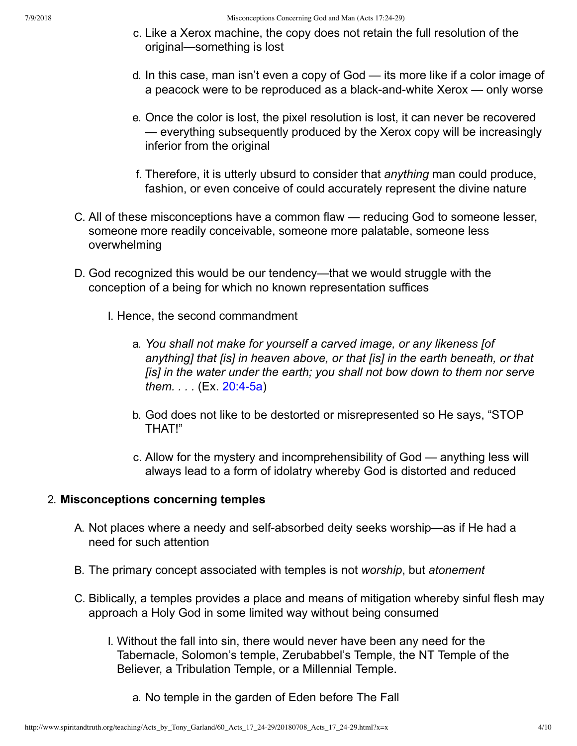- c. Like a Xerox machine, the copy does not retain the full resolution of the original—something is lost
- d. In this case, man isn't even a copy of God its more like if a color image of a peacock were to be reproduced as a black-and-white Xerox — only worse
- e. Once the color is lost, the pixel resolution is lost, it can never be recovered — everything subsequently produced by the Xerox copy will be increasingly inferior from the original
- f. Therefore, it is utterly ubsurd to consider that *anything* man could produce, fashion, or even conceive of could accurately represent the divine nature
- C. All of these misconceptions have a common flaw reducing God to someone lesser, someone more readily conceivable, someone more palatable, someone less overwhelming
- D. God recognized this would be our tendency—that we would struggle with the conception of a being for which no known representation suffices
	- I. Hence, the second commandment
		- a. *You shall not make for yourself a carved image, or any likeness [of anything] that [is] in heaven above, or that [is] in the earth beneath, or that [is] in the water under the earth; you shall not bow down to them nor serve them...* (Ex. 20:4-5a)
		- b. God does not like to be destorted or misrepresented so He says, "STOP THAT!"
		- c. Allow for the mystery and incomprehensibility of God anything less will always lead to a form of idolatry whereby God is distorted and reduced

### 2. **Misconceptions concerning temples**

- A. Not places where a needy and self-absorbed deity seeks worship—as if He had a need for such attention
- B. The primary concept associated with temples is not *worship*, but *atonement*
- C. Biblically, a temples provides a place and means of mitigation whereby sinful flesh may approach a Holy God in some limited way without being consumed
	- I. Without the fall into sin, there would never have been any need for the Tabernacle, Solomon's temple, Zerubabbel's Temple, the NT Temple of the Believer, a Tribulation Temple, or a Millennial Temple.
		- a. No temple in the garden of Eden before The Fall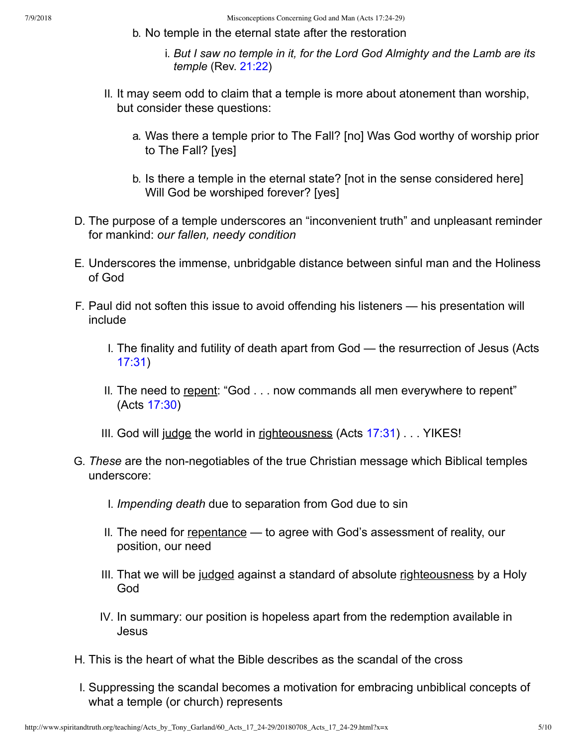- b. No temple in the eternal state after the restoration
	- i. *But I saw no temple in it, for the Lord God Almighty and the Lamb are its temple* (Rev. [21:22\)](http://www.spiritandtruth.org/bibles/nasb/b66c021.htm#Rev._C21V22)
- II. It may seem odd to claim that a temple is more about atonement than worship, but consider these questions:
	- a. Was there a temple prior to The Fall? [no] Was God worthy of worship prior to The Fall? [yes]
	- b. Is there a temple in the eternal state? [not in the sense considered here] Will God be worshiped forever? [yes]
- D. The purpose of a temple underscores an "inconvenient truth" and unpleasant reminder for mankind: *our fallen, needy condition*
- E. Underscores the immense, unbridgable distance between sinful man and the Holiness of God
- F. Paul did not soften this issue to avoid offending his listeners his presentation will include
	- I. The finality and futility of death apart from God the resurrection of Jesus (Acts [17:31\)](http://www.spiritandtruth.org/bibles/nasb/b44c017.htm#Acts_C17V31)
	- II. The need to repent: "God . . . now commands all men everywhere to repent" (Acts [17:30\)](http://www.spiritandtruth.org/bibles/nasb/b44c017.htm#Acts_C17V30)
	- III. God will judge the world in righteousness (Acts  $17:31$ )... YIKES!
- G. *These* are the non-negotiables of the true Christian message which Biblical temples underscore:
	- I. *Impending death* due to separation from God due to sin
	- II. The need for repentance to agree with God's assessment of reality, our position, our need
	- III. That we will be judged against a standard of absolute righteousness by a Holy God
	- IV. In summary: our position is hopeless apart from the redemption available in Jesus
- H. This is the heart of what the Bible describes as the scandal of the cross
- I. Suppressing the scandal becomes a motivation for embracing unbiblical concepts of what a temple (or church) represents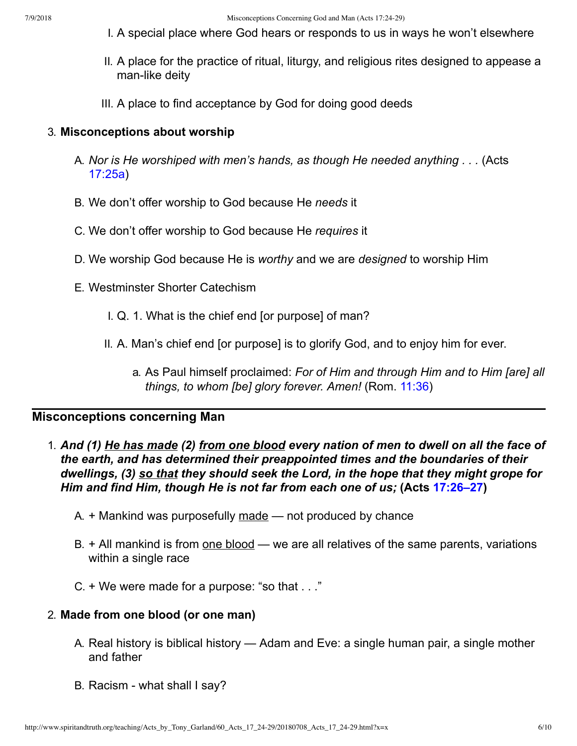- I. A special place where God hears or responds to us in ways he won't elsewhere
- II. A place for the practice of ritual, liturgy, and religious rites designed to appease a man-like deity
- III. A place to find acceptance by God for doing good deeds

#### 3. **Misconceptions about worship**

- A. *Nor is He worshiped with men's hands, as though He needed anything . . .* (Acts [17:25a](http://www.spiritandtruth.org/bibles/nasb/b44c017.htm#Acts_C17V25))
- B. We don't offer worship to God because He *needs* it
- C. We don't offer worship to God because He *requires* it
- D. We worship God because He is *worthy* and we are *designed* to worship Him
- E. Westminster Shorter Catechism
	- I. Q. 1. What is the chief end [or purpose] of man?
	- II. A. Man's chief end [or purpose] is to glorify God, and to enjoy him for ever.
		- a. As Paul himself proclaimed: *For of Him and through Him and to Him [are] all things, to whom [be] glory forever. Amen!* (Rom. [11:36](http://www.spiritandtruth.org/bibles/nasb/b45c011.htm#Rom._C11V36))

#### **Misconceptions concerning Man**

- 1. *And (1) He has made (2) from one blood every nation of men to dwell on all the face of the earth, and has determined their preappointed times and the boundaries of their dwellings, (3) so that they should seek the Lord, in the hope that they might grope for Him and find Him, though He is not far from each one of us;* **(Acts [17:26–27\)](http://www.spiritandtruth.org/bibles/nasb/b44c017.htm#Acts_C17V26)**
	- A.  $+$  Mankind was purposefully made  $-$  not produced by chance
	- $B. + All$  mankind is from one blood we are all relatives of the same parents, variations within a single race
	- C. + We were made for a purpose: "so that . . ."

#### 2. **Made from one blood (or one man)**

- A. Real history is biblical history Adam and Eve: a single human pair, a single mother and father
- B. Racism what shall I say?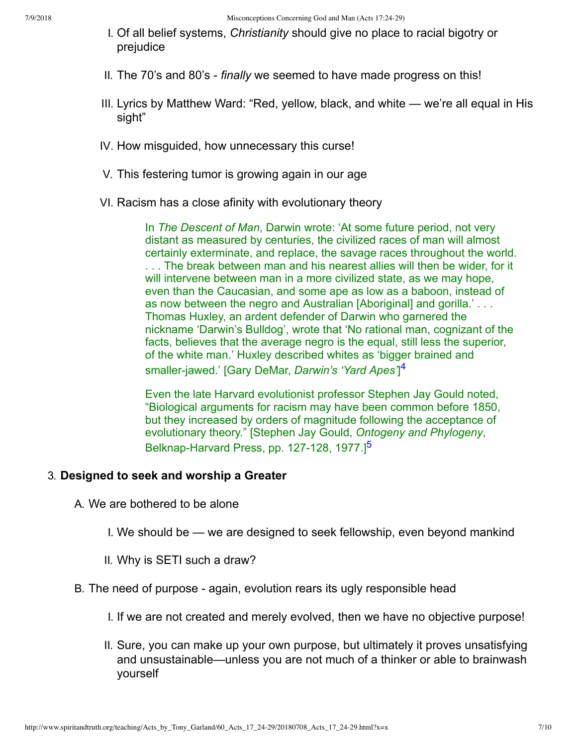- I. Of all belief systems, *Christianity* should give no place to racial bigotry or prejudice
- II. The 70's and 80's *finally* we seemed to have made progress on this!
- III. Lyrics by Matthew Ward: "Red, yellow, black, and white we're all equal in His sight"
- IV. How misguided, how unnecessary this curse!
- V. This festering tumor is growing again in our age
- VI. Racism has a close afinity with evolutionary theory

In *The Descent of Man*, Darwin wrote: 'At some future period, not very distant as measured by centuries, the civilized races of man will almost certainly exterminate, and replace, the savage races throughout the world. . . . The break between man and his nearest allies will then be wider, for it will intervene between man in a more civilized state, as we may hope, even than the Caucasian, and some ape as low as a baboon, instead of as now between the negro and Australian [Aboriginal] and gorilla.' . . . Thomas Huxley, an ardent defender of Darwin who garnered the nickname 'Darwin's Bulldog', wrote that 'No rational man, cognizant of the facts, believes that the average negro is the equal, still less the superior, of the white man.' Huxley described whites as 'bigger brained and smaller-jawed.' [Gary DeMar, *Darwin's 'Yard Apes'*]<sup>[4](#page-9-5)</sup>

<span id="page-6-1"></span><span id="page-6-0"></span>Even the late Harvard evolutionist professor Stephen Jay Gould noted, "Biological arguments for racism may have been common before 1850, but they increased by orders of magnitude following the acceptance of evolutionary theory." [Stephen Jay Gould, *Ontogeny and Phylogeny*, Belknap-Harvard Press, pp. 127-128, 1977.<sup>1[5](#page-9-6)</sup>

#### 3. **Designed to seek and worship a Greater**

A. We are bothered to be alone

- I. We should be we are designed to seek fellowship, even beyond mankind
- II. Why is SETI such a draw?
- B. The need of purpose again, evolution rears its ugly responsible head
	- I. If we are not created and merely evolved, then we have no objective purpose!
	- II. Sure, you can make up your own purpose, but ultimately it proves unsatisfying and unsustainable—unless you are not much of a thinker or able to brainwash yourself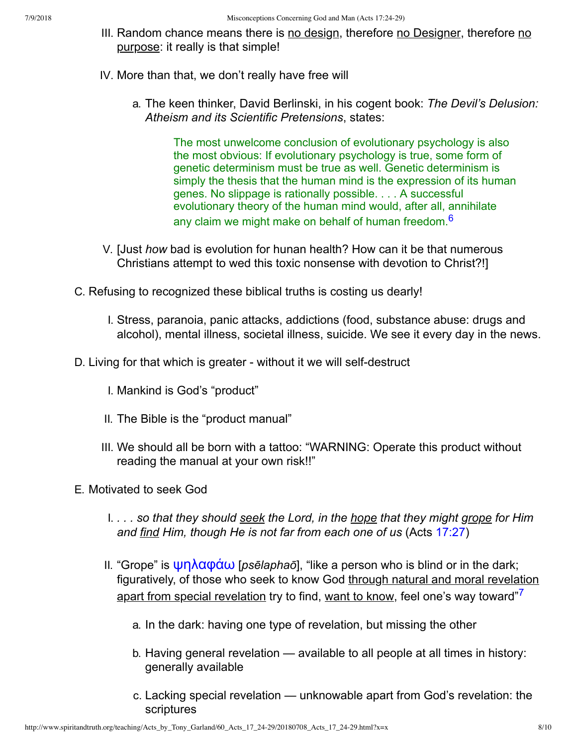- III. Random chance means there is no design, therefore no Designer, therefore no purpose: it really is that simple!
- IV. More than that, we don't really have free will
	- a. The keen thinker, David Berlinski, in his cogent book: *The Devil's Delusion: Atheism and its Scientific Pretensions*, states:

<span id="page-7-0"></span>The most unwelcome conclusion of evolutionary psychology is also the most obvious: If evolutionary psychology is true, some form of genetic determinism must be true as well. Genetic determinism is simply the thesis that the human mind is the expression of its human genes. No slippage is rationally possible. . . . A successful evolutionary theory of the human mind would, after all, annihilate any claim we might make on behalf of human freedom.<sup>[6](#page-9-7)</sup>

- V. [Just *how* bad is evolution for hunan health? How can it be that numerous Christians attempt to wed this toxic nonsense with devotion to Christ?!]
- C. Refusing to recognized these biblical truths is costing us dearly!
	- I. Stress, paranoia, panic attacks, addictions (food, substance abuse: drugs and alcohol), mental illness, societal illness, suicide. We see it every day in the news.
- D. Living for that which is greater without it we will self-destruct
	- I. Mankind is God's "product"
	- II. The Bible is the "product manual"
	- III. We should all be born with a tattoo: "WARNING: Operate this product without reading the manual at your own risk!!"
- <span id="page-7-1"></span>E. Motivated to seek God
	- I. *. . . so that they should seek the Lord, in the hope that they might grope for Him and find Him, though He is not far from each one of us* (Acts [17:27\)](http://www.spiritandtruth.org/bibles/nasb/b44c017.htm#Acts_C17V27)
	- II. "Grope" is **ψηλαφάω** [*psēlaphaō*], "like a person who is blind or in the dark; figuratively, of those who seek to know God through natural and moral revelation apart from special revelation try to find, want to know, feel one's way toward"<sup>[7](#page-9-8)</sup>
		- a. In the dark: having one type of revelation, but missing the other
		- b. Having general revelation available to all people at all times in history: generally available
		- c. Lacking special revelation unknowable apart from God's revelation: the scriptures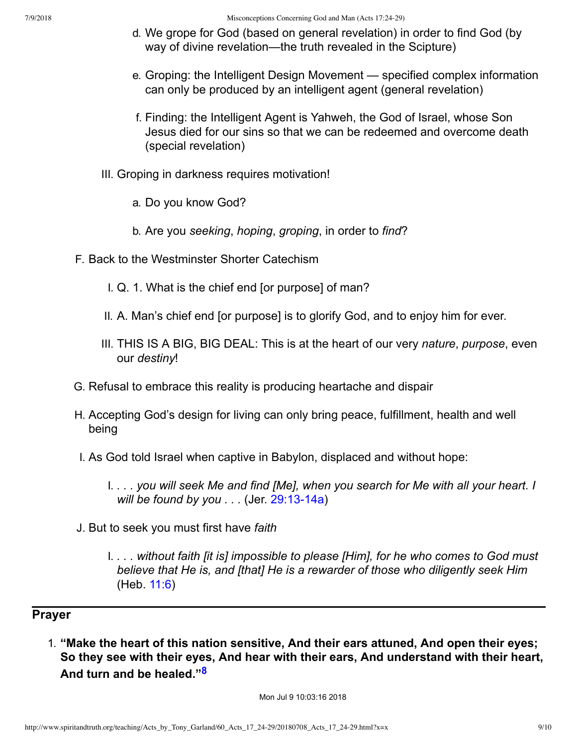- d. We grope for God (based on general revelation) in order to find God (by way of divine revelation—the truth revealed in the Scipture)
- e. Groping: the Intelligent Design Movement specified complex information can only be produced by an intelligent agent (general revelation)
- f. Finding: the Intelligent Agent is Yahweh, the God of Israel, whose Son Jesus died for our sins so that we can be redeemed and overcome death (special revelation)
- III. Groping in darkness requires motivation!
	- a. Do you know God?
	- b. Are you *seeking*, *hoping*, *groping*, in order to *find*?
- F. Back to the Westminster Shorter Catechism
	- I. Q. 1. What is the chief end [or purpose] of man?
	- II. A. Man's chief end [or purpose] is to glorify God, and to enjoy him for ever.
	- III. THIS IS A BIG, BIG DEAL: This is at the heart of our very *nature*, *purpose*, even our *destiny*!
- G. Refusal to embrace this reality is producing heartache and dispair
- H. Accepting God's design for living can only bring peace, fulfillment, health and well being
- I. As God told Israel when captive in Babylon, displaced and without hope:
	- I. *. . . you will seek Me and find [Me], when you search for Me with all your heart. I will be found by you ...* (Jer. 29:13-14a)
- J. But to seek you must first have *faith*
	- I. *. . . without faith [it is] impossible to please [Him], for he who comes to God must believe that He is, and [that] He is a rewarder of those who diligently seek Him* (Heb. [11:6\)](http://www.spiritandtruth.org/bibles/nasb/b58c011.htm#Heb._C11V6)

## **Prayer**

1. **"Make the heart of this nation sensitive, And their ears attuned, And open their eyes; So they see with their eyes, And hear with their ears, And understand with their heart, And turn and be healed."[8](#page-9-9)**

<span id="page-8-0"></span>Mon Jul 9 10:03:16 2018